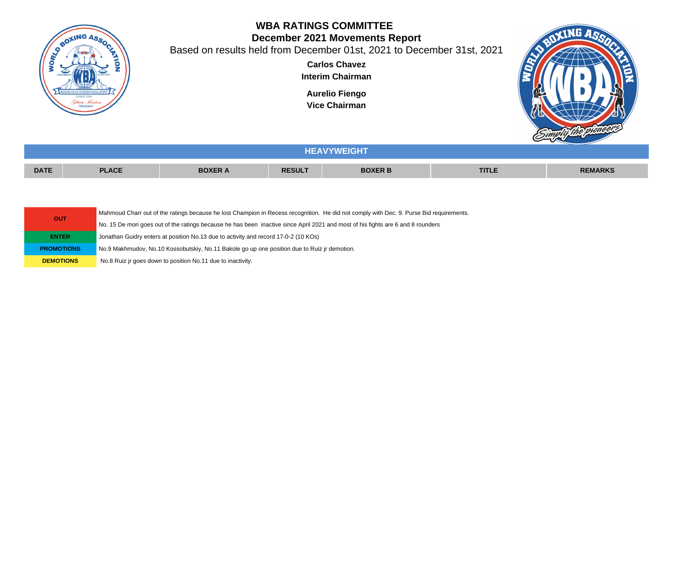

**OUT**

## **WBA RATINGS COMMITTEE December 2021 Movements Report**

Based on results held from December 01st, 2021 to December 31st, 2021

**Carlos Chavez Interim Chairman**

**Aurelio Fiengo Vice Chairman**



|             | <b>HEAVYWEIGHT</b> |                |               |                |              |                |  |  |
|-------------|--------------------|----------------|---------------|----------------|--------------|----------------|--|--|
| <b>DATE</b> | <b>PLACE</b>       | <b>BOXER A</b> | <b>RESULT</b> | <b>BOXER B</b> | <b>TITLE</b> | <b>REMARKS</b> |  |  |
|             |                    |                |               |                |              |                |  |  |

Mahmoud Charr out of the ratings because he lost Champion in Recess recognition. He did not comply with Dec. 9. Purse Bid requirements.

No. 15 De mori goes out of the ratings because he has been inactive since April 2021 and most of his fights are 6 and 8 rounders

**ENTER** Jonathan Guidry enters at position No.13 due to activity and record 17-0-2 (10 KOs)

**PROMOTIONS** No.9 Makhmudov, No.10 Kossobutskiy, No.11 Bakole go up one position due to Ruiz jr demotion.

**DEMOTIONS** No.8 Ruiz jr goes down to position No.11 due to inactivity.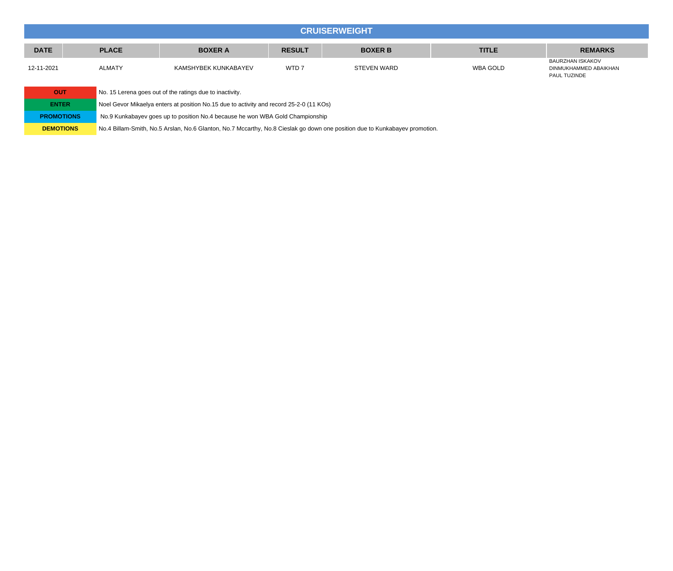## **CRUISERWEIGHT DATE PLACE BOXER A RESULT BOXER B TITLE REMARKS** 12-11-2021 ALMATY KAMSHYBEK KUNKABAYEV WTD 7 STEVEN WARD WBA GOLD BAURZHAN ISKAKOV DINMUKHAMMED ABAIKHAN PAUL TUZINDE

| OUT               | No. 15 Lerena goes out of the ratings due to inactivity.                                                                    |
|-------------------|-----------------------------------------------------------------------------------------------------------------------------|
| <b>ENTER</b>      | Noel Gevor Mikaelya enters at position No.15 due to activity and record 25-2-0 (11 KOs)                                     |
| <b>PROMOTIONS</b> | No.9 Kunkabayev goes up to position No.4 because he won WBA Gold Championship                                               |
| <b>DEMOTIONS</b>  | No.4 Billam-Smith, No.5 Arslan, No.6 Glanton, No.7 Mccarthy, No.8 Cieslak go down one position due to Kunkabayev promotion. |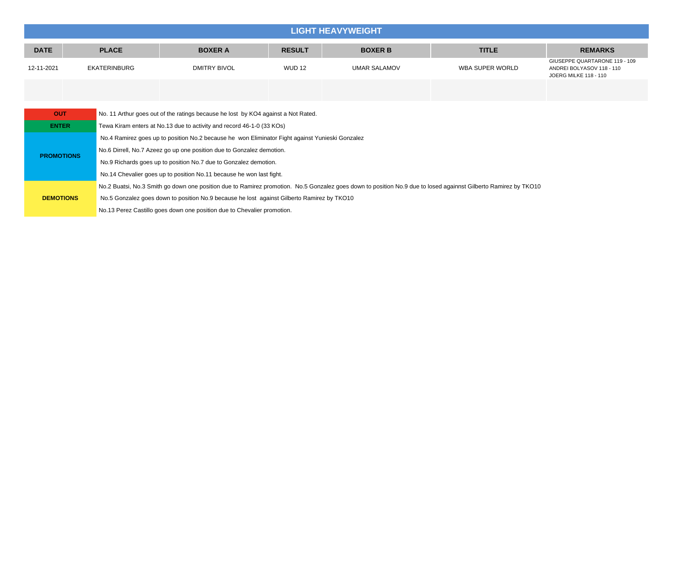| <b>LIGHT HEAVYWEIGHT</b> |                                                                                                                                                                 |                                                                      |                                                                                                 |               |                     |                        |                                                                                            |  |
|--------------------------|-----------------------------------------------------------------------------------------------------------------------------------------------------------------|----------------------------------------------------------------------|-------------------------------------------------------------------------------------------------|---------------|---------------------|------------------------|--------------------------------------------------------------------------------------------|--|
| <b>DATE</b>              |                                                                                                                                                                 | <b>PLACE</b>                                                         | <b>BOXER A</b>                                                                                  | <b>RESULT</b> | <b>BOXER B</b>      | <b>TITLE</b>           | <b>REMARKS</b>                                                                             |  |
| 12-11-2021               |                                                                                                                                                                 | <b>EKATERINBURG</b>                                                  | <b>DMITRY BIVOL</b>                                                                             | <b>WUD 12</b> | <b>UMAR SALAMOV</b> | <b>WBA SUPER WORLD</b> | GIUSEPPE QUARTARONE 119 - 109<br>ANDREI BOLYASOV 118 - 110<br><b>JOERG MILKE 118 - 110</b> |  |
|                          |                                                                                                                                                                 |                                                                      |                                                                                                 |               |                     |                        |                                                                                            |  |
|                          | No. 11 Arthur goes out of the ratings because he lost by KO4 against a Not Rated.<br><b>OUT</b>                                                                 |                                                                      |                                                                                                 |               |                     |                        |                                                                                            |  |
| <b>ENTER</b>             |                                                                                                                                                                 |                                                                      | Tewa Kiram enters at No.13 due to activity and record 46-1-0 (33 KOs)                           |               |                     |                        |                                                                                            |  |
|                          |                                                                                                                                                                 |                                                                      | No.4 Ramirez goes up to position No.2 because he won Eliminator Fight against Yunieski Gonzalez |               |                     |                        |                                                                                            |  |
| <b>PROMOTIONS</b>        |                                                                                                                                                                 |                                                                      | No.6 Dirrell, No.7 Azeez go up one position due to Gonzalez demotion.                           |               |                     |                        |                                                                                            |  |
|                          |                                                                                                                                                                 |                                                                      | No.9 Richards goes up to position No.7 due to Gonzalez demotion.                                |               |                     |                        |                                                                                            |  |
|                          |                                                                                                                                                                 | No.14 Chevalier goes up to position No.11 because he won last fight. |                                                                                                 |               |                     |                        |                                                                                            |  |
|                          | No.2 Buatsi, No.3 Smith go down one position due to Ramirez promotion. No.5 Gonzalez goes down to position No.9 due to losed againnst Gilberto Ramirez by TKO10 |                                                                      |                                                                                                 |               |                     |                        |                                                                                            |  |
| <b>DEMOTIONS</b>         |                                                                                                                                                                 |                                                                      | No.5 Gonzalez goes down to position No.9 because he lost against Gilberto Ramirez by TKO10      |               |                     |                        |                                                                                            |  |
|                          |                                                                                                                                                                 |                                                                      | No.13 Perez Castillo goes down one position due to Chevalier promotion.                         |               |                     |                        |                                                                                            |  |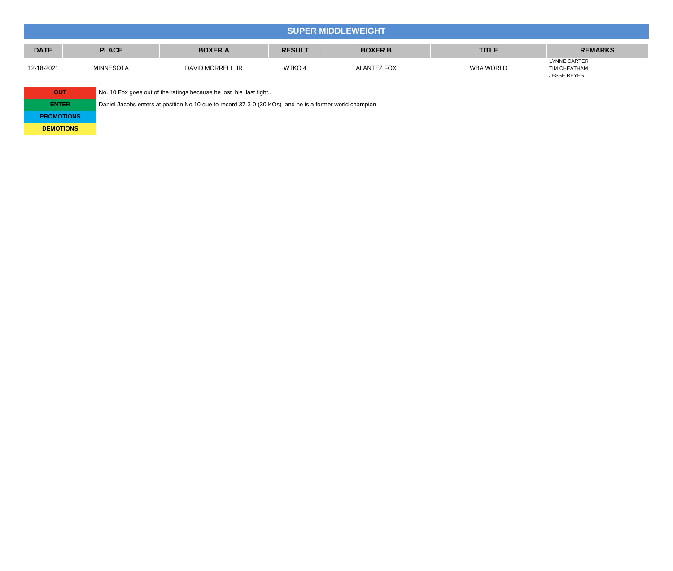|             | <b>SUPER MIDDLEWEIGHT</b> |                  |               |                    |              |                                                           |  |  |
|-------------|---------------------------|------------------|---------------|--------------------|--------------|-----------------------------------------------------------|--|--|
| <b>DATE</b> | <b>PLACE</b>              | <b>BOXER A</b>   | <b>RESULT</b> | <b>BOXER B</b>     | <b>TITLE</b> | <b>REMARKS</b>                                            |  |  |
| 12-18-2021  | <b>MINNESOTA</b>          | DAVID MORRELL JR | WTKO 4        | <b>ALANTEZ FOX</b> | WBA WORLD    | <b>LYNNE CARTER</b><br>TIM CHEATHAM<br><b>JESSE REYES</b> |  |  |

| <b>OUT</b>        | No. 10 Fox goes out of the ratings because he lost his last fight                                      |
|-------------------|--------------------------------------------------------------------------------------------------------|
| <b>ENTER</b>      | Daniel Jacobs enters at position No.10 due to record 37-3-0 (30 KOs) and he is a former world champion |
| <b>PROMOTIONS</b> |                                                                                                        |
| <b>DEMOTIONS</b>  |                                                                                                        |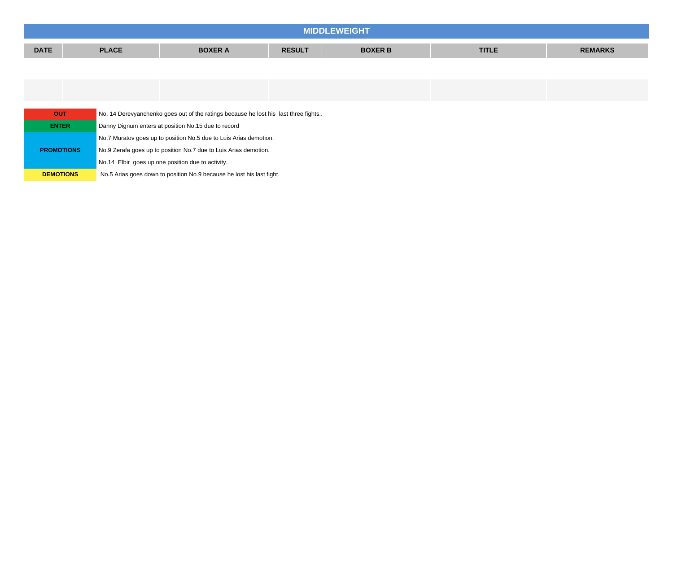| MIDDL       |              |                |               |                |              |                |
|-------------|--------------|----------------|---------------|----------------|--------------|----------------|
| <b>DATE</b> | <b>PLACE</b> | <b>BOXER A</b> | <b>RESULT</b> | <b>BOXER B</b> | <b>TITLE</b> | <b>REMARKS</b> |
|             |              |                |               |                |              |                |

| <b>OUT</b>        | No. 14 Derevyanchenko goes out of the ratings because he lost his last three fights |
|-------------------|-------------------------------------------------------------------------------------|
| <b>ENTER</b>      | Danny Dignum enters at position No.15 due to record                                 |
|                   | No.7 Muratov goes up to position No.5 due to Luis Arias demotion.                   |
| <b>PROMOTIONS</b> | No.9 Zerafa goes up to position No.7 due to Luis Arias demotion.                    |
|                   | No.14 Elbir goes up one position due to activity.                                   |
| <b>DEMOTIONS</b>  | No.5 Arias goes down to position No.9 because he lost his last fight.               |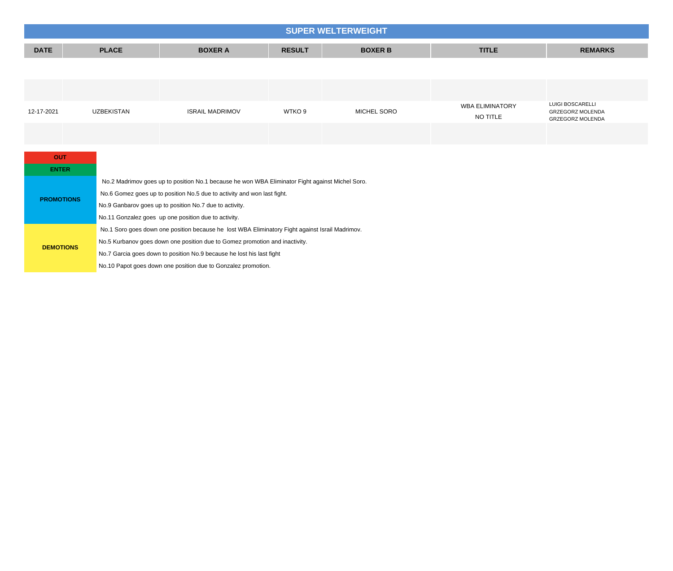|             | <b>SUPER WELTERWEIGHT</b> |                        |               |                |                        |                                                    |  |  |
|-------------|---------------------------|------------------------|---------------|----------------|------------------------|----------------------------------------------------|--|--|
| <b>DATE</b> | <b>PLACE</b>              | <b>BOXER A</b>         | <b>RESULT</b> | <b>BOXER B</b> | <b>TITLE</b>           | <b>REMARKS</b>                                     |  |  |
|             |                           |                        |               |                |                        |                                                    |  |  |
|             |                           |                        |               |                |                        |                                                    |  |  |
|             |                           |                        |               |                | <b>WBA ELIMINATORY</b> | LUIGI BOSCARELLI                                   |  |  |
| 12-17-2021  | <b>UZBEKISTAN</b>         | <b>ISRAIL MADRIMOV</b> | WTKO 9        | MICHEL SORO    | NO TITLE               | <b>GRZEGORZ MOLENDA</b><br><b>GRZEGORZ MOLENDA</b> |  |  |
|             |                           |                        |               |                |                        |                                                    |  |  |

| <b>OUT</b>        |                                                                                                 |
|-------------------|-------------------------------------------------------------------------------------------------|
| <b>ENTER</b>      |                                                                                                 |
|                   | No.2 Madrimov goes up to position No.1 because he won WBA Eliminator Fight against Michel Soro. |
| <b>PROMOTIONS</b> | No.6 Gomez goes up to position No.5 due to activity and won last fight.                         |
|                   | No.9 Ganbarov goes up to position No.7 due to activity.                                         |
|                   | No.11 Gonzalez goes up one position due to activity.                                            |
|                   | No.1 Soro goes down one position because he lost WBA Eliminatory Fight against Israil Madrimov. |
|                   | No.5 Kurbanov goes down one position due to Gomez promotion and inactivity.                     |
| <b>DEMOTIONS</b>  | No.7 Garcia goes down to position No.9 because he lost his last fight                           |
|                   | No.10 Papot goes down one position due to Gonzalez promotion.                                   |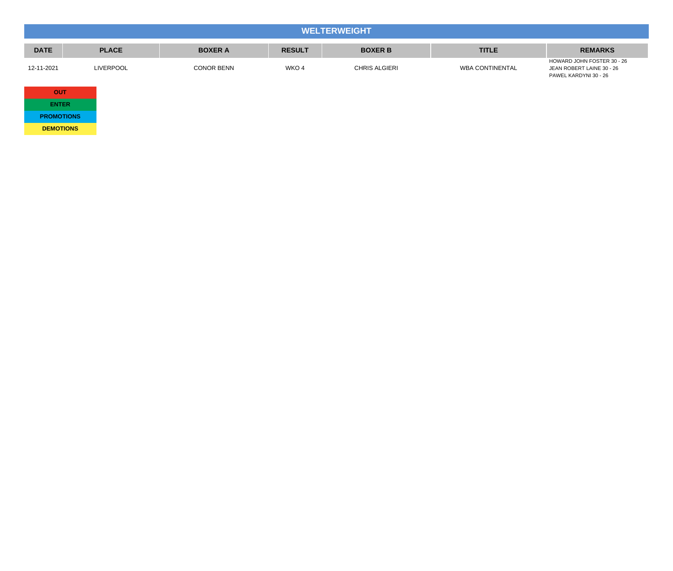|             | <b>WELTERWEIGHT</b> |                   |               |                      |                        |                                                                                  |  |
|-------------|---------------------|-------------------|---------------|----------------------|------------------------|----------------------------------------------------------------------------------|--|
| <b>DATE</b> | <b>PLACE</b>        | <b>BOXER A</b>    | <b>RESULT</b> | <b>BOXER B</b>       | <b>TITLE</b>           | <b>REMARKS</b>                                                                   |  |
| 12-11-2021  | <b>LIVERPOOL</b>    | <b>CONOR BENN</b> | WKO 4         | <b>CHRIS ALGIERI</b> | <b>WBA CONTINENTAL</b> | HOWARD JOHN FOSTER 30 - 26<br>JEAN ROBERT LAINE 30 - 26<br>PAWEL KARDYNI 30 - 26 |  |
| <b>OUT</b>  |                     |                   |               |                      |                        |                                                                                  |  |

| <b>ENTER</b>      |
|-------------------|
| <b>PROMOTIONS</b> |
| <b>DEMOTIONS</b>  |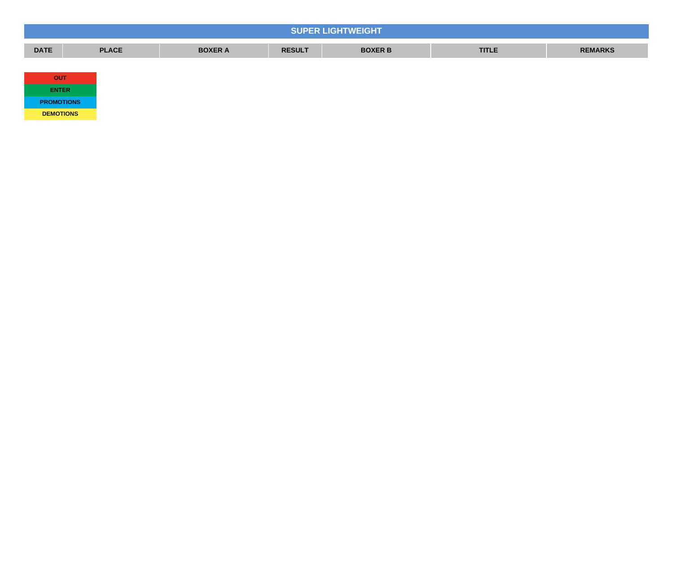| <b>SUPER LIGHTWEIGHT</b> |              |                |               |                |              |                |  |
|--------------------------|--------------|----------------|---------------|----------------|--------------|----------------|--|
| <b>DATE</b>              | <b>PLACE</b> | <b>BOXER A</b> | <b>RESULT</b> | <b>BOXER B</b> | <b>TITLE</b> | <b>REMARKS</b> |  |
|                          |              |                |               |                |              |                |  |
| <b>OUT</b>               |              |                |               |                |              |                |  |
| <b>ENTER</b>             |              |                |               |                |              |                |  |
| <b>PROMOTIONS</b>        |              |                |               |                |              |                |  |

**DEMOTIONS**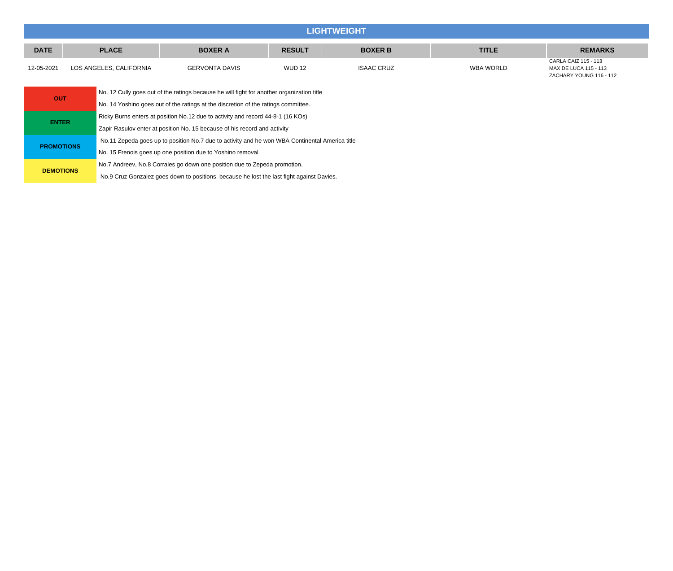|              | <b>LIGHTWEIGHT</b> |                                                                                           |                                                                                                |               |                   |              |                                                                          |  |  |  |
|--------------|--------------------|-------------------------------------------------------------------------------------------|------------------------------------------------------------------------------------------------|---------------|-------------------|--------------|--------------------------------------------------------------------------|--|--|--|
| <b>DATE</b>  |                    | <b>PLACE</b>                                                                              | <b>BOXER A</b>                                                                                 | <b>RESULT</b> | <b>BOXER B</b>    | <b>TITLE</b> | <b>REMARKS</b>                                                           |  |  |  |
| 12-05-2021   |                    | LOS ANGELES, CALIFORNIA                                                                   | <b>GERVONTA DAVIS</b>                                                                          | <b>WUD 12</b> | <b>ISAAC CRUZ</b> | WBA WORLD    | CARLA CAIZ 115 - 113<br>MAX DE LUCA 115 - 113<br>ZACHARY YOUNG 116 - 112 |  |  |  |
| <b>OUT</b>   |                    | No. 12 Cully goes out of the ratings because he will fight for another organization title |                                                                                                |               |                   |              |                                                                          |  |  |  |
|              |                    |                                                                                           | No. 14 Yoshino goes out of the ratings at the discretion of the ratings committee.             |               |                   |              |                                                                          |  |  |  |
| <b>ENTER</b> |                    | Ricky Burns enters at position No.12 due to activity and record 44-8-1 (16 KOs)           |                                                                                                |               |                   |              |                                                                          |  |  |  |
|              |                    |                                                                                           | Zapir Rasulov enter at position No. 15 because of his record and activity                      |               |                   |              |                                                                          |  |  |  |
|              |                    |                                                                                           | No.11 Zepeda goes up to position No.7 due to activity and he won WBA Continental America title |               |                   |              |                                                                          |  |  |  |

No. 15 Frenois goes up one position due to Yoshino removal

**PROMOTIONS**

**DEMOTIONS** No.7 Andreev, No.8 Corrales go down one position due to Zepeda promotion.

No.9 Cruz Gonzalez goes down to positions because he lost the last fight against Davies.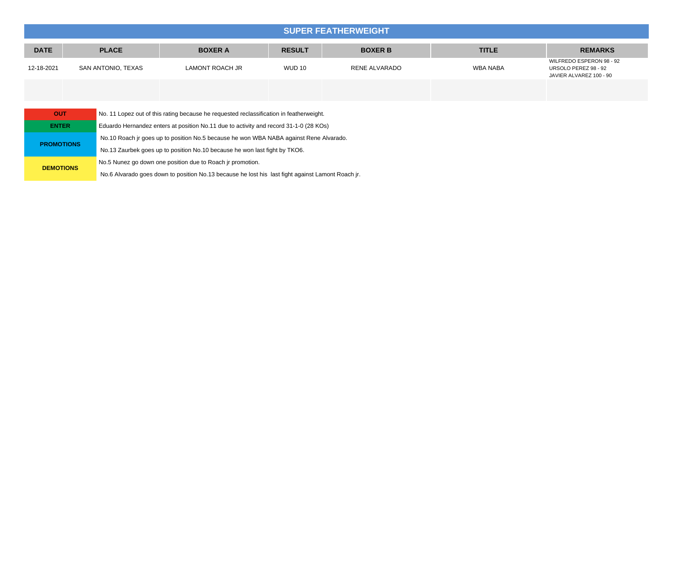|             | <b>SUPER FEATHERWEIGHT</b>                                                                            |                        |               |                |                 |                                                                             |  |  |  |  |
|-------------|-------------------------------------------------------------------------------------------------------|------------------------|---------------|----------------|-----------------|-----------------------------------------------------------------------------|--|--|--|--|
| <b>DATE</b> | <b>PLACE</b>                                                                                          | <b>BOXER A</b>         | <b>RESULT</b> | <b>BOXER B</b> | <b>TITLE</b>    | <b>REMARKS</b>                                                              |  |  |  |  |
| 12-18-2021  | SAN ANTONIO, TEXAS                                                                                    | <b>LAMONT ROACH JR</b> | <b>WUD 10</b> | RENE ALVARADO  | <b>WBA NABA</b> | WILFREDO ESPERON 98 - 92<br>URSOLO PEREZ 98 - 92<br>JAVIER ALVAREZ 100 - 90 |  |  |  |  |
|             |                                                                                                       |                        |               |                |                 |                                                                             |  |  |  |  |
|             | <b>OUT</b><br>No. 11 Lopez out of this rating because he requested reclassification in featherweight. |                        |               |                |                 |                                                                             |  |  |  |  |

| Eduardo Hernandez enters at position No.11 due to activity and record 31-1-0 (28 KOs)             |  |  |  |  |  |
|---------------------------------------------------------------------------------------------------|--|--|--|--|--|
| No.10 Roach ir goes up to position No.5 because he won WBA NABA against Rene Alvarado.            |  |  |  |  |  |
| No.13 Zaurbek goes up to position No.10 because he won last fight by TKO6.                        |  |  |  |  |  |
| No.5 Nunez go down one position due to Roach ir promotion.                                        |  |  |  |  |  |
| No.6 Alvarado goes down to position No.13 because he lost his last fight against Lamont Roach jr. |  |  |  |  |  |
|                                                                                                   |  |  |  |  |  |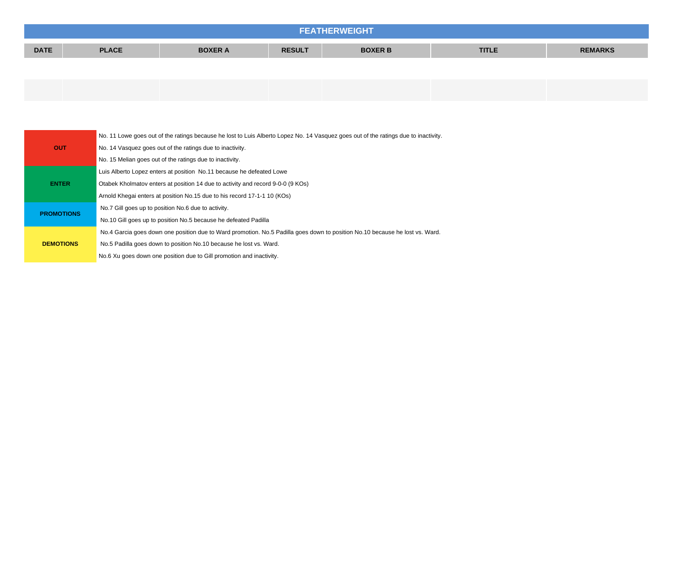| <b>FEATHERWEIGHT</b>                                                                             |  |  |  |  |  |                |  |  |
|--------------------------------------------------------------------------------------------------|--|--|--|--|--|----------------|--|--|
| <b>DATE</b><br><b>PLACE</b><br><b>TITLE</b><br><b>BOXER B</b><br><b>RESULT</b><br><b>BOXER A</b> |  |  |  |  |  | <b>REMARKS</b> |  |  |
|                                                                                                  |  |  |  |  |  |                |  |  |

|                   | No. 11 Lowe goes out of the ratings because he lost to Luis Alberto Lopez No. 14 Vasquez goes out of the ratings due to inactivity. |
|-------------------|-------------------------------------------------------------------------------------------------------------------------------------|
| <b>OUT</b>        | No. 14 Vasquez goes out of the ratings due to inactivity.                                                                           |
|                   | No. 15 Melian goes out of the ratings due to inactivity.                                                                            |
|                   | Luis Alberto Lopez enters at position No.11 because he defeated Lowe                                                                |
| <b>ENTER</b>      | Otabek Kholmatov enters at position 14 due to activity and record 9-0-0 (9 KOs)                                                     |
|                   | Arnold Khegai enters at position No.15 due to his record 17-1-1 10 (KOs)                                                            |
|                   | No.7 Gill goes up to position No.6 due to activity.                                                                                 |
| <b>PROMOTIONS</b> | No.10 Gill goes up to position No.5 because he defeated Padilla                                                                     |
|                   | No.4 Garcia goes down one position due to Ward promotion. No.5 Padilla goes down to position No.10 because he lost vs. Ward.        |
| <b>DEMOTIONS</b>  | No.5 Padilla goes down to position No.10 because he lost vs. Ward.                                                                  |
|                   | No.6 Xu goes down one position due to Gill promotion and inactivity.                                                                |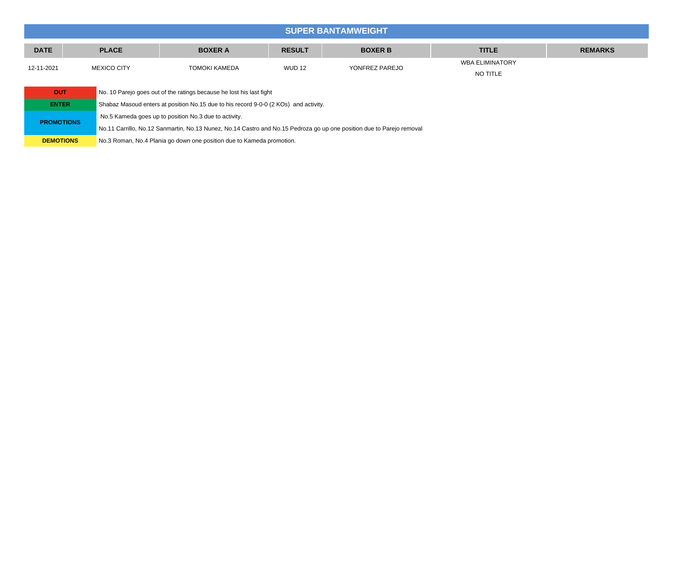|              | <b>SUPER BANTAMWEIGHT</b>                                                            |                                                       |               |                |                                    |                |  |  |  |
|--------------|--------------------------------------------------------------------------------------|-------------------------------------------------------|---------------|----------------|------------------------------------|----------------|--|--|--|
| <b>DATE</b>  | <b>PLACE</b>                                                                         | <b>BOXER A</b>                                        | <b>RESULT</b> | <b>BOXER B</b> | <b>TITLE</b>                       | <b>REMARKS</b> |  |  |  |
| 12-11-2021   | <b>MEXICO CITY</b>                                                                   | <b>TOMOKI KAMEDA</b>                                  | <b>WUD 12</b> | YONFREZ PAREJO | <b>WBA ELIMINATORY</b><br>NO TITLE |                |  |  |  |
| <b>OUT</b>   | No. 10 Parejo goes out of the ratings because he lost his last fight                 |                                                       |               |                |                                    |                |  |  |  |
| <b>ENTER</b> | Shabaz Masoud enters at position No.15 due to his record 9-0-0 (2 KOs) and activity. |                                                       |               |                |                                    |                |  |  |  |
|              |                                                                                      | No.5 Kameda goes up to position No.3 due to activity. |               |                |                                    |                |  |  |  |

**PROMOTIONS** No.11 Carrillo, No.12 Sanmartin, No.13 Nunez, No.14 Castro and No.15 Pedroza go up one position due to Parejo removal

**DEMOTIONS** No.3 Roman, No.4 Plania go down one position due to Kameda promotion.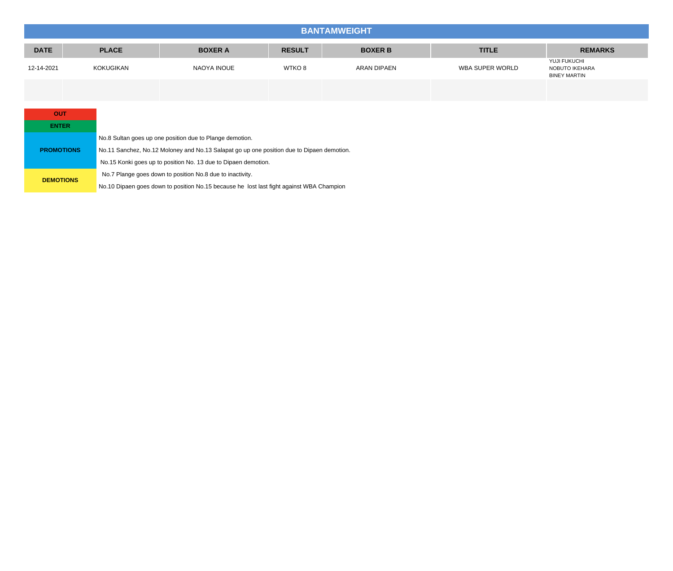|             | <b>BANTAMWEIGHT</b> |                |               |                    |                 |                                                       |  |  |  |
|-------------|---------------------|----------------|---------------|--------------------|-----------------|-------------------------------------------------------|--|--|--|
| <b>DATE</b> | <b>PLACE</b>        | <b>BOXER A</b> | <b>RESULT</b> | <b>BOXER B</b>     | <b>TITLE</b>    | <b>REMARKS</b>                                        |  |  |  |
| 12-14-2021  | KOKUGIKAN           | NAOYA INOUE    | WTKO 8        | <b>ARAN DIPAEN</b> | WBA SUPER WORLD | YUJI FUKUCHI<br>NOBUTO IKEHARA<br><b>BINEY MARTIN</b> |  |  |  |
|             |                     |                |               |                    |                 |                                                       |  |  |  |

| <b>OUT</b>        |                                                                                           |  |  |  |
|-------------------|-------------------------------------------------------------------------------------------|--|--|--|
| <b>ENTER</b>      |                                                                                           |  |  |  |
|                   | No.8 Sultan goes up one position due to Plange demotion.                                  |  |  |  |
| <b>PROMOTIONS</b> | No.11 Sanchez, No.12 Moloney and No.13 Salapat go up one position due to Dipaen demotion. |  |  |  |
|                   | No.15 Konki goes up to position No. 13 due to Dipaen demotion.                            |  |  |  |
|                   | No.7 Plange goes down to position No.8 due to inactivity.                                 |  |  |  |
| <b>DEMOTIONS</b>  | No.10 Dipaen goes down to position No.15 because he lost last fight against WBA Champion  |  |  |  |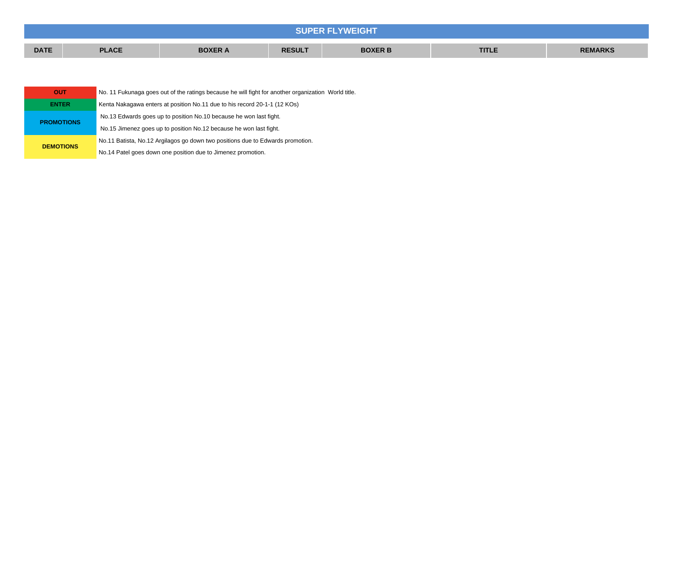| <b>SUPER FLYWEIGHT</b> |              |                |               |                |              |                |  |
|------------------------|--------------|----------------|---------------|----------------|--------------|----------------|--|
| <b>DATE</b>            | <b>PLACE</b> | <b>BOXER A</b> | <b>RESULT</b> | <b>BOXER B</b> | <b>TITLE</b> | <b>REMARKS</b> |  |
|                        |              |                |               |                |              |                |  |

| OUT               | No. 11 Fukunaga goes out of the ratings because he will fight for another organization World title. |
|-------------------|-----------------------------------------------------------------------------------------------------|
| <b>ENTER</b>      | Kenta Nakagawa enters at position No.11 due to his record 20-1-1 (12 KOs)                           |
| <b>PROMOTIONS</b> | No.13 Edwards goes up to position No.10 because he won last fight.                                  |
|                   | No.15 Jimenez goes up to position No.12 because he won last fight.                                  |
| <b>DEMOTIONS</b>  | No.11 Batista, No.12 Argilagos go down two positions due to Edwards promotion.                      |
|                   | No.14 Patel goes down one position due to Jimenez promotion.                                        |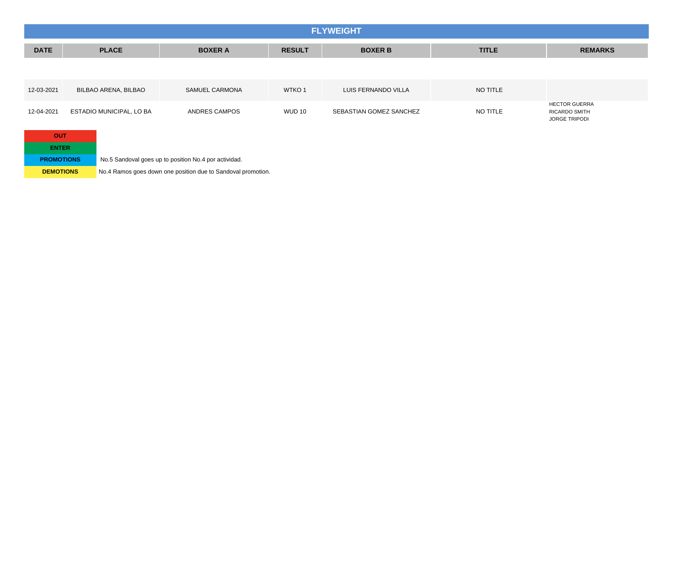|                                   | <b>FLYWEIGHT</b>         |                                                       |                   |                         |              |                                                                      |  |  |  |  |
|-----------------------------------|--------------------------|-------------------------------------------------------|-------------------|-------------------------|--------------|----------------------------------------------------------------------|--|--|--|--|
| <b>DATE</b>                       | <b>PLACE</b>             | <b>BOXER A</b>                                        | <b>RESULT</b>     | <b>BOXER B</b>          | <b>TITLE</b> | <b>REMARKS</b>                                                       |  |  |  |  |
|                                   |                          |                                                       |                   |                         |              |                                                                      |  |  |  |  |
| 12-03-2021                        | BILBAO ARENA, BILBAO     | SAMUEL CARMONA                                        | WTKO <sub>1</sub> | LUIS FERNANDO VILLA     | NO TITLE     |                                                                      |  |  |  |  |
| 12-04-2021                        | ESTADIO MUNICIPAL, LO BA | ANDRES CAMPOS                                         | WUD 10            | SEBASTIAN GOMEZ SANCHEZ | NO TITLE     | <b>HECTOR GUERRA</b><br><b>RICARDO SMITH</b><br><b>JORGE TRIPODI</b> |  |  |  |  |
| <b>OUT</b>                        |                          |                                                       |                   |                         |              |                                                                      |  |  |  |  |
| <b>ENTER</b><br><b>PROMOTIONS</b> |                          | No.5 Sandoval goes up to position No.4 por actividad. |                   |                         |              |                                                                      |  |  |  |  |

**DEMOTIONS** No.4 Ramos goes down one position due to Sandoval promotion.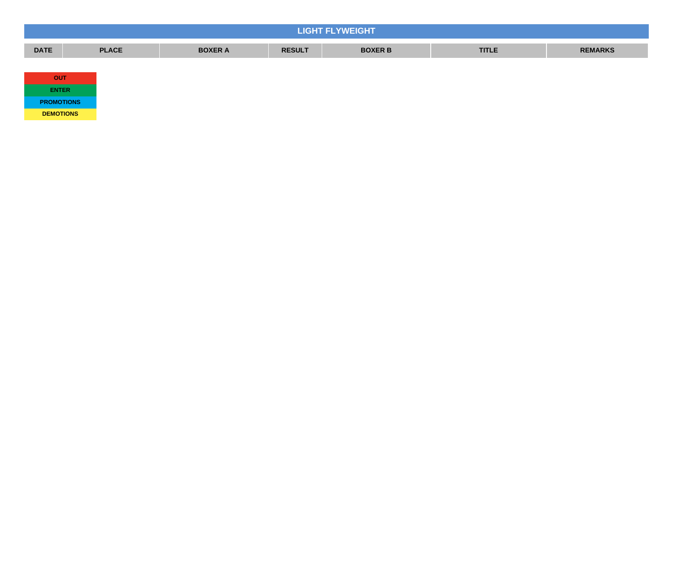| <b>LIGHT FLYWEIGHT</b> |              |                |               |                |              |                |  |  |
|------------------------|--------------|----------------|---------------|----------------|--------------|----------------|--|--|
| <b>DATE</b>            | <b>PLACE</b> | <b>BOXER A</b> | <b>RESULT</b> | <b>BOXER B</b> | <b>TITLE</b> | <b>REMARKS</b> |  |  |
|                        |              |                |               |                |              |                |  |  |
| <b>OUT</b>             |              |                |               |                |              |                |  |  |
| <b>ENTER</b>           |              |                |               |                |              |                |  |  |
| <b>PROMOTIONS</b>      |              |                |               |                |              |                |  |  |

**DEMOTIONS**